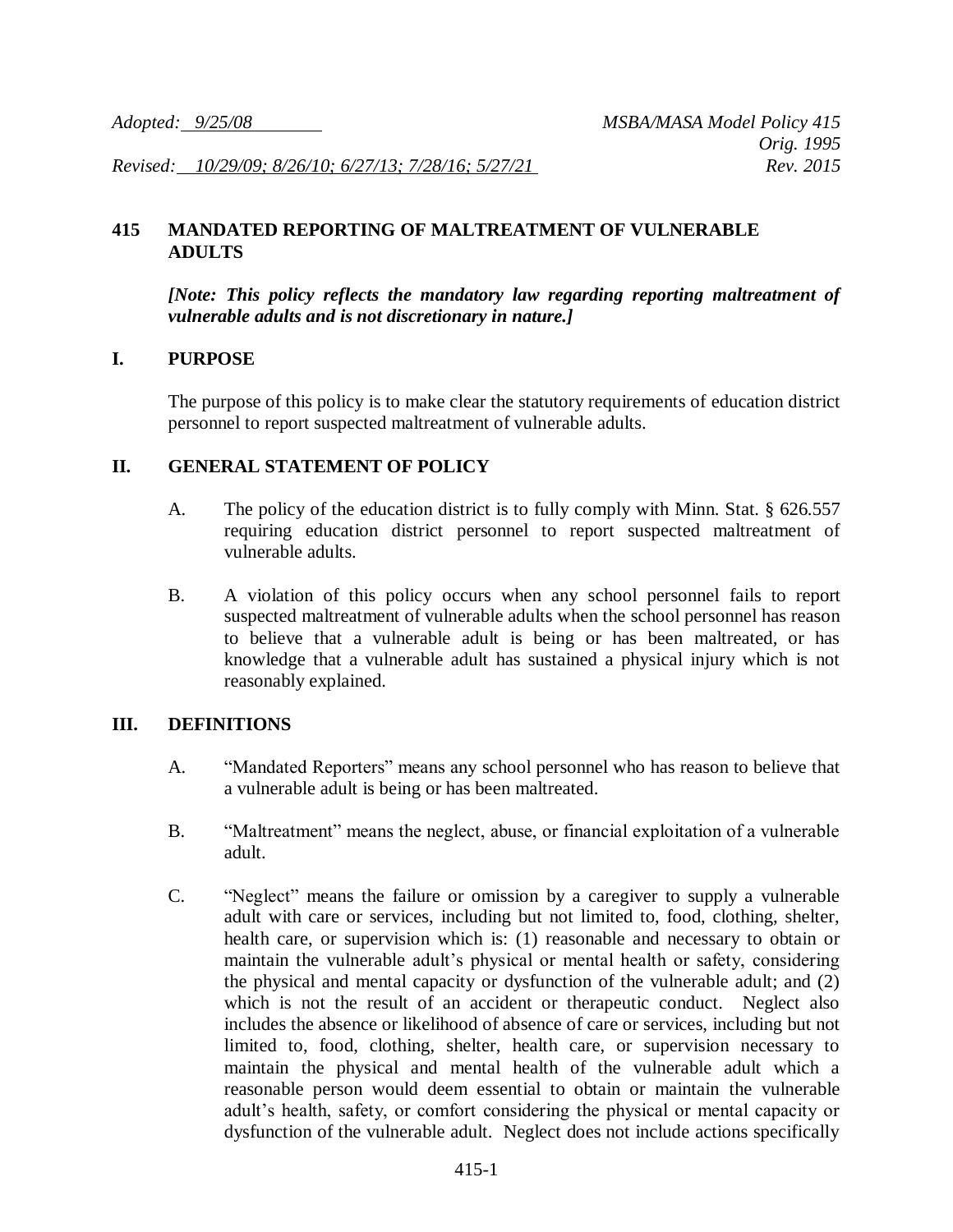*Revised: 10/29/09; 8/26/10; 6/27/13; 7/28/16; 5/27/21 Rev. 2015*

### **415 MANDATED REPORTING OF MALTREATMENT OF VULNERABLE ADULTS**

*[Note: This policy reflects the mandatory law regarding reporting maltreatment of vulnerable adults and is not discretionary in nature.]*

#### **I. PURPOSE**

The purpose of this policy is to make clear the statutory requirements of education district personnel to report suspected maltreatment of vulnerable adults.

#### **II. GENERAL STATEMENT OF POLICY**

- A. The policy of the education district is to fully comply with Minn. Stat. § 626.557 requiring education district personnel to report suspected maltreatment of vulnerable adults.
- B. A violation of this policy occurs when any school personnel fails to report suspected maltreatment of vulnerable adults when the school personnel has reason to believe that a vulnerable adult is being or has been maltreated, or has knowledge that a vulnerable adult has sustained a physical injury which is not reasonably explained.

### **III. DEFINITIONS**

- A. "Mandated Reporters" means any school personnel who has reason to believe that a vulnerable adult is being or has been maltreated.
- B. "Maltreatment" means the neglect, abuse, or financial exploitation of a vulnerable adult.
- C. "Neglect" means the failure or omission by a caregiver to supply a vulnerable adult with care or services, including but not limited to, food, clothing, shelter, health care, or supervision which is: (1) reasonable and necessary to obtain or maintain the vulnerable adult's physical or mental health or safety, considering the physical and mental capacity or dysfunction of the vulnerable adult; and (2) which is not the result of an accident or therapeutic conduct. Neglect also includes the absence or likelihood of absence of care or services, including but not limited to, food, clothing, shelter, health care, or supervision necessary to maintain the physical and mental health of the vulnerable adult which a reasonable person would deem essential to obtain or maintain the vulnerable adult's health, safety, or comfort considering the physical or mental capacity or dysfunction of the vulnerable adult. Neglect does not include actions specifically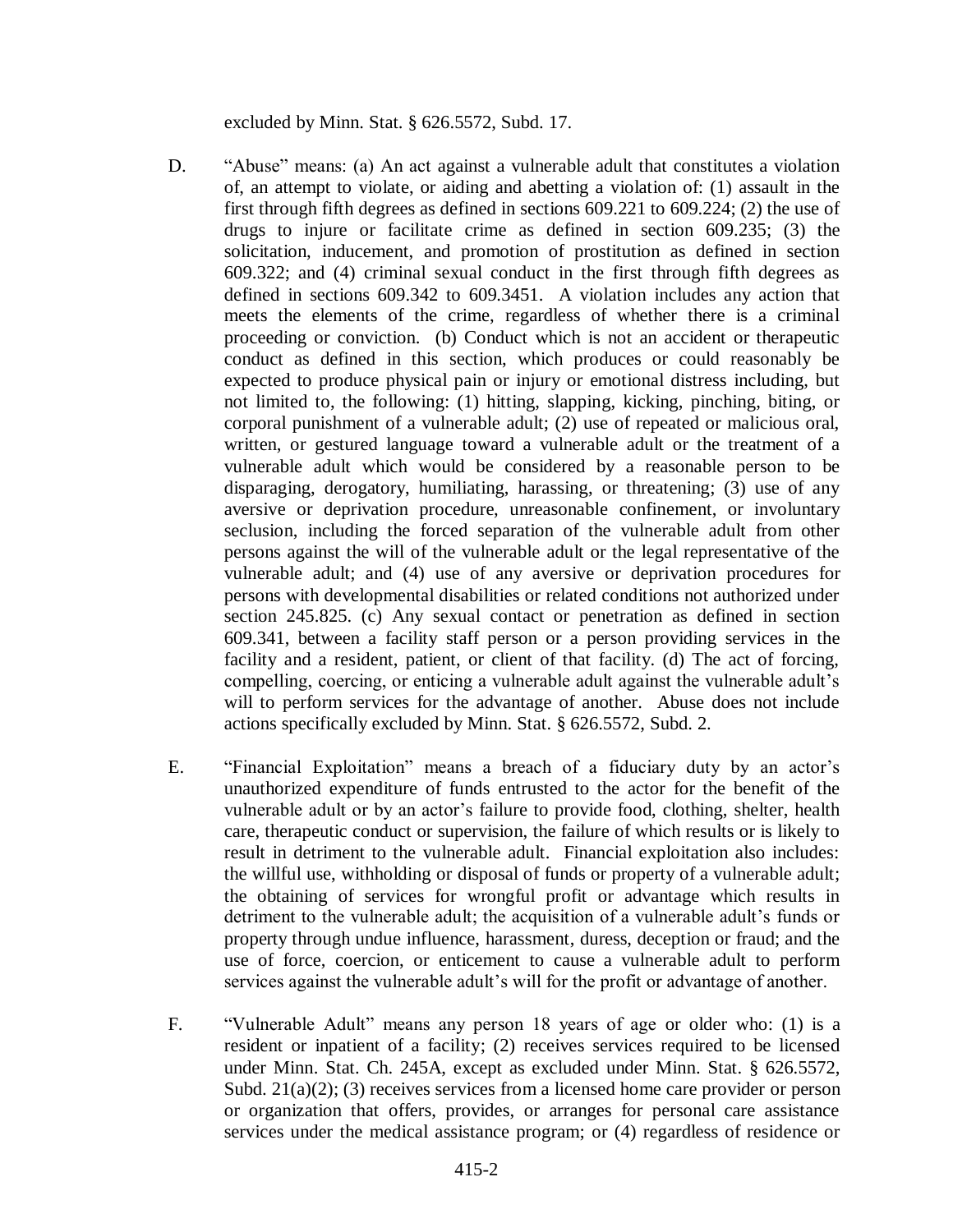excluded by Minn. Stat. § 626.5572, Subd. 17.

- D. "Abuse" means: (a) An act against a vulnerable adult that constitutes a violation of, an attempt to violate, or aiding and abetting a violation of: (1) assault in the first through fifth degrees as defined in sections 609.221 to 609.224; (2) the use of drugs to injure or facilitate crime as defined in section 609.235; (3) the solicitation, inducement, and promotion of prostitution as defined in section 609.322; and (4) criminal sexual conduct in the first through fifth degrees as defined in sections 609.342 to 609.3451. A violation includes any action that meets the elements of the crime, regardless of whether there is a criminal proceeding or conviction. (b) Conduct which is not an accident or therapeutic conduct as defined in this section, which produces or could reasonably be expected to produce physical pain or injury or emotional distress including, but not limited to, the following: (1) hitting, slapping, kicking, pinching, biting, or corporal punishment of a vulnerable adult; (2) use of repeated or malicious oral, written, or gestured language toward a vulnerable adult or the treatment of a vulnerable adult which would be considered by a reasonable person to be disparaging, derogatory, humiliating, harassing, or threatening; (3) use of any aversive or deprivation procedure, unreasonable confinement, or involuntary seclusion, including the forced separation of the vulnerable adult from other persons against the will of the vulnerable adult or the legal representative of the vulnerable adult; and (4) use of any aversive or deprivation procedures for persons with developmental disabilities or related conditions not authorized under section 245.825. (c) Any sexual contact or penetration as defined in section 609.341, between a facility staff person or a person providing services in the facility and a resident, patient, or client of that facility. (d) The act of forcing, compelling, coercing, or enticing a vulnerable adult against the vulnerable adult's will to perform services for the advantage of another. Abuse does not include actions specifically excluded by Minn. Stat. § 626.5572, Subd. 2.
- E. "Financial Exploitation" means a breach of a fiduciary duty by an actor's unauthorized expenditure of funds entrusted to the actor for the benefit of the vulnerable adult or by an actor's failure to provide food, clothing, shelter, health care, therapeutic conduct or supervision, the failure of which results or is likely to result in detriment to the vulnerable adult. Financial exploitation also includes: the willful use, withholding or disposal of funds or property of a vulnerable adult; the obtaining of services for wrongful profit or advantage which results in detriment to the vulnerable adult; the acquisition of a vulnerable adult's funds or property through undue influence, harassment, duress, deception or fraud; and the use of force, coercion, or enticement to cause a vulnerable adult to perform services against the vulnerable adult's will for the profit or advantage of another.
- F. "Vulnerable Adult" means any person 18 years of age or older who: (1) is a resident or inpatient of a facility; (2) receives services required to be licensed under Minn. Stat. Ch. 245A, except as excluded under Minn. Stat. § 626.5572, Subd.  $21(a)(2)$ ; (3) receives services from a licensed home care provider or person or organization that offers, provides, or arranges for personal care assistance services under the medical assistance program; or (4) regardless of residence or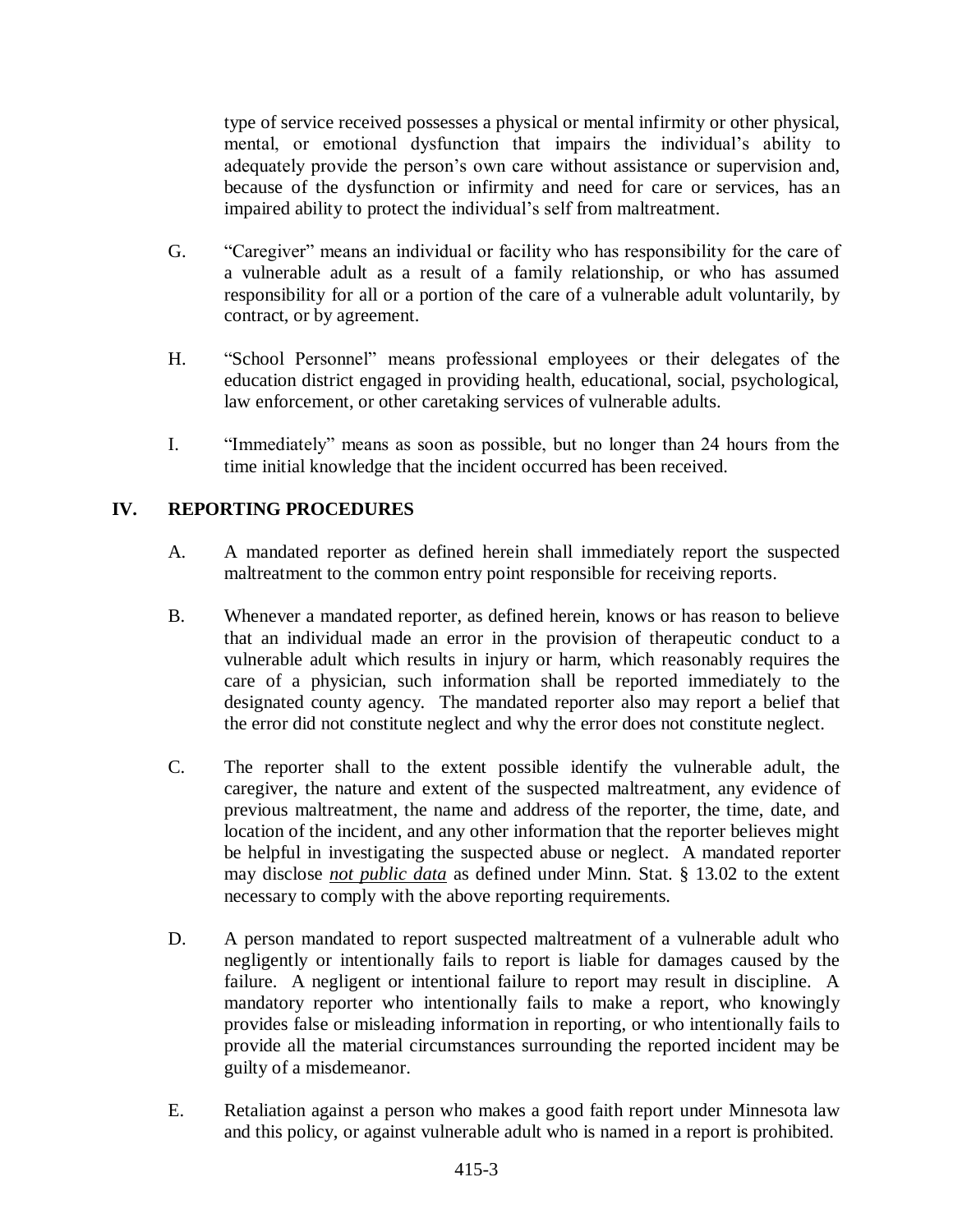type of service received possesses a physical or mental infirmity or other physical, mental, or emotional dysfunction that impairs the individual's ability to adequately provide the person's own care without assistance or supervision and, because of the dysfunction or infirmity and need for care or services, has an impaired ability to protect the individual's self from maltreatment.

- G. "Caregiver" means an individual or facility who has responsibility for the care of a vulnerable adult as a result of a family relationship, or who has assumed responsibility for all or a portion of the care of a vulnerable adult voluntarily, by contract, or by agreement.
- H. "School Personnel" means professional employees or their delegates of the education district engaged in providing health, educational, social, psychological, law enforcement, or other caretaking services of vulnerable adults.
- I. "Immediately" means as soon as possible, but no longer than 24 hours from the time initial knowledge that the incident occurred has been received.

# **IV. REPORTING PROCEDURES**

- A. A mandated reporter as defined herein shall immediately report the suspected maltreatment to the common entry point responsible for receiving reports.
- B. Whenever a mandated reporter, as defined herein, knows or has reason to believe that an individual made an error in the provision of therapeutic conduct to a vulnerable adult which results in injury or harm, which reasonably requires the care of a physician, such information shall be reported immediately to the designated county agency. The mandated reporter also may report a belief that the error did not constitute neglect and why the error does not constitute neglect.
- C. The reporter shall to the extent possible identify the vulnerable adult, the caregiver, the nature and extent of the suspected maltreatment, any evidence of previous maltreatment, the name and address of the reporter, the time, date, and location of the incident, and any other information that the reporter believes might be helpful in investigating the suspected abuse or neglect. A mandated reporter may disclose *not public data* as defined under Minn. Stat. § 13.02 to the extent necessary to comply with the above reporting requirements.
- D. A person mandated to report suspected maltreatment of a vulnerable adult who negligently or intentionally fails to report is liable for damages caused by the failure. A negligent or intentional failure to report may result in discipline. A mandatory reporter who intentionally fails to make a report, who knowingly provides false or misleading information in reporting, or who intentionally fails to provide all the material circumstances surrounding the reported incident may be guilty of a misdemeanor.
- E. Retaliation against a person who makes a good faith report under Minnesota law and this policy, or against vulnerable adult who is named in a report is prohibited.